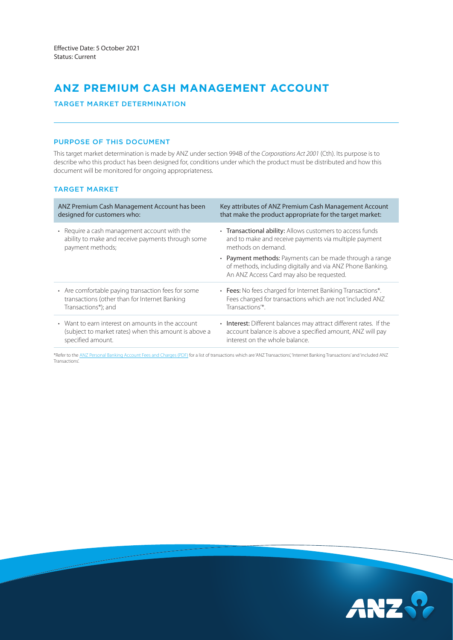# **ANZ PREMIUM CASH MANAGEMENT ACCOUNT**

# TARGET MARKET DETERMINATION

## PURPOSE OF THIS DOCUMENT

This target market determination is made by ANZ under section 994B of the *Corporations Act 2001* (Cth). Its purpose is to describe who this product has been designed for, conditions under which the product must be distributed and how this document will be monitored for ongoing appropriateness.

## TARGET MARKET

| ANZ Premium Cash Management Account has been          | Key attributes of ANZ Premium Cash Management Account                                                                                                              |
|-------------------------------------------------------|--------------------------------------------------------------------------------------------------------------------------------------------------------------------|
| designed for customers who:                           | that make the product appropriate for the target market:                                                                                                           |
| • Require a cash management account with the          | • Transactional ability: Allows customers to access funds                                                                                                          |
| ability to make and receive payments through some     | and to make and receive payments via multiple payment                                                                                                              |
| payment methods;                                      | methods on demand.                                                                                                                                                 |
|                                                       | • Payment methods: Payments can be made through a range<br>of methods, including digitally and via ANZ Phone Banking.<br>An ANZ Access Card may also be requested. |
| • Are comfortable paying transaction fees for some    | • Fees: No fees charged for Internet Banking Transactions*.                                                                                                        |
| transactions (other than for Internet Banking         | Fees charged for transactions which are not 'included ANZ                                                                                                          |
| Transactions*); and                                   | Transactions <sup>"*</sup> .                                                                                                                                       |
| • Want to earn interest on amounts in the account     | • Interest: Different balances may attract different rates. If the                                                                                                 |
| (subject to market rates) when this amount is above a | account balance is above a specified amount, ANZ will pay                                                                                                          |
| specified amount.                                     | interest on the whole balance.                                                                                                                                     |

\*Refer to the [ANZ Personal Banking Account Fees and Charges \(PDF\)](https://www.anz.com.au/content/dam/anzcomau/documents/pdf/personal-account-fees-charges.pdf) for a list of transactions which are 'ANZ Transactions', 'Internet Banking Transactions' and 'included ANZ Transactions'.

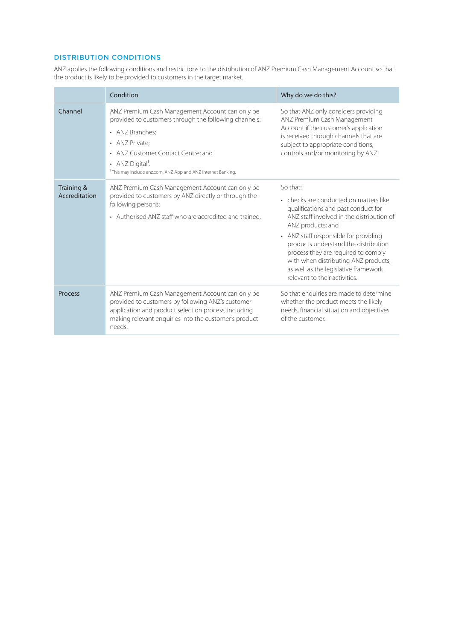# DISTRIBUTION CONDITIONS

ANZ applies the following conditions and restrictions to the distribution of ANZ Premium Cash Management Account so that the product is likely to be provided to customers in the target market.

|                             | Condition                                                                                                                                                                                                                                                                                       | Why do we do this?                                                                                                                                                                                                                                                                                                                                                                                   |  |
|-----------------------------|-------------------------------------------------------------------------------------------------------------------------------------------------------------------------------------------------------------------------------------------------------------------------------------------------|------------------------------------------------------------------------------------------------------------------------------------------------------------------------------------------------------------------------------------------------------------------------------------------------------------------------------------------------------------------------------------------------------|--|
| Channel                     | ANZ Premium Cash Management Account can only be<br>provided to customers through the following channels:<br>• ANZ Branches;<br>• ANZ Private:<br>• ANZ Customer Contact Centre; and<br>• ANZ Digital <sup>1</sup> .<br><sup>1</sup> This may include anz.com, ANZ App and ANZ Internet Banking. | So that ANZ only considers providing<br>ANZ Premium Cash Management<br>Account if the customer's application<br>is received through channels that are<br>subject to appropriate conditions,<br>controls and/or monitoring by ANZ.                                                                                                                                                                    |  |
| Training &<br>Accreditation | ANZ Premium Cash Management Account can only be<br>provided to customers by ANZ directly or through the<br>following persons:<br>• Authorised ANZ staff who are accredited and trained.                                                                                                         | So that:<br>• checks are conducted on matters like<br>qualifications and past conduct for<br>ANZ staff involved in the distribution of<br>ANZ products; and<br>• ANZ staff responsible for providing<br>products understand the distribution<br>process they are required to comply<br>with when distributing ANZ products,<br>as well as the legislative framework<br>relevant to their activities. |  |
| <b>Process</b>              | ANZ Premium Cash Management Account can only be<br>provided to customers by following ANZ's customer<br>application and product selection process, including<br>making relevant enquiries into the customer's product<br>needs.                                                                 | So that enquiries are made to determine<br>whether the product meets the likely<br>needs, financial situation and objectives<br>of the customer.                                                                                                                                                                                                                                                     |  |